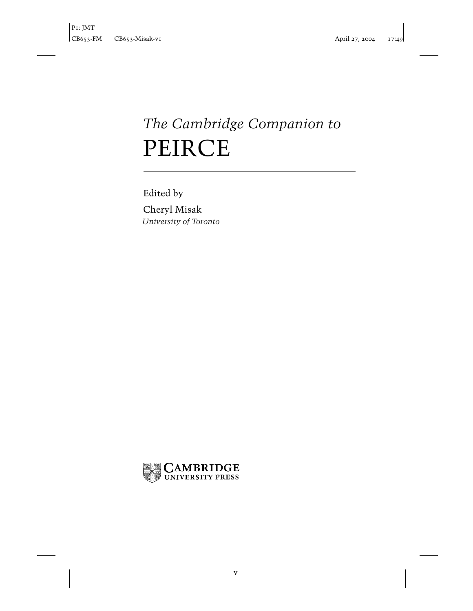# *The Cambridge Companion to* PEIRCE

Edited by Cheryl Misak *University of Toronto*

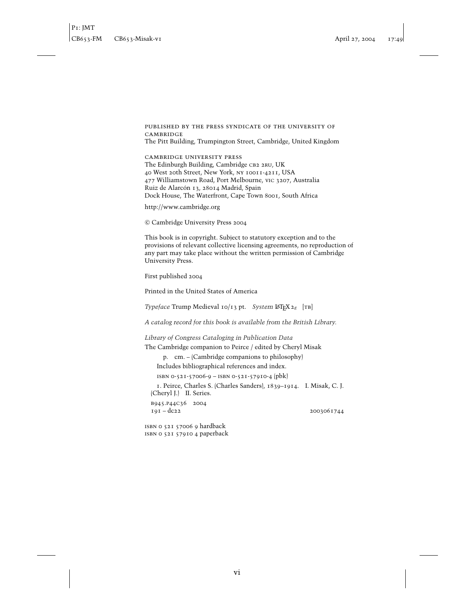published by the press syndicate of the university of CAMBRIDGE The Pitt Building, Trumpington Street, Cambridge, United Kingdom

cambridge university press The Edinburgh Building, Cambridge CB2 2RU, UK 40 West 20th Street, New York, ny 10011-4211, USA 477 Williamstown Road, Port Melbourne, vic 3207, Australia Ruiz de Alarcón 13, 28014 Madrid, Spain Dock House, The Waterfront, Cape Town 8001, South Africa

http://www.cambridge.org

-c Cambridge University Press 2004

This book is in copyright. Subject to statutory exception and to the provisions of relevant collective licensing agreements, no reproduction of any part may take place without the written permission of Cambridge University Press.

First published 2004

Printed in the United States of America

*Typeface* Trump Medieval 10/13 pt. *System LATEX* 2<sub>ε</sub> [TB]

*A catalog record for this book is available from the British Library.*

*Library of Congress Cataloging in Publication Data* The Cambridge companion to Peirce / edited by Cheryl Misak p. cm. – (Cambridge companions to philosophy) Includes bibliographical references and index. isbn 0-521-57006-9 – isbn 0-521-57910-4 (pbk) 1. Peirce, Charles S. (Charles Sanders), 1839–1914. I. Misak, C. J. (Cheryl J.) II. Series. b945.p44c36 2004  $19I - dc22$  2003061744

isbn 0 521 57006 9 hardback isbn 0 521 57910 4 paperback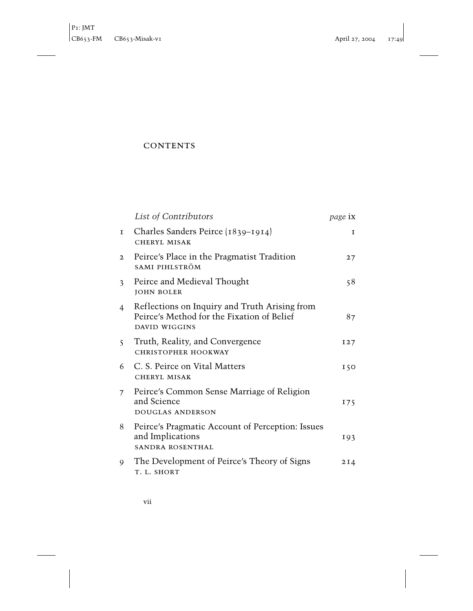### **CONTENTS**

|                         | List of Contributors                                                                                         | page ix         |
|-------------------------|--------------------------------------------------------------------------------------------------------------|-----------------|
| $\mathbf{I}$            | Charles Sanders Peirce (1839-1914)<br>CHERYL MISAK                                                           | $\mathbf{I}$    |
| $\mathbf{2}$            | Peirce's Place in the Pragmatist Tradition<br>SAMI PIHLSTRÖM                                                 | 27              |
| $\overline{\mathbf{3}}$ | Peirce and Medieval Thought<br><b>JOHN BOLER</b>                                                             | 58              |
| 4                       | Reflections on Inquiry and Truth Arising from<br>Peirce's Method for the Fixation of Belief<br>DAVID WIGGINS | 87              |
| $\overline{\mathbf{S}}$ | Truth, Reality, and Convergence<br>CHRISTOPHER HOOKWAY                                                       | I <sub>27</sub> |
| 6                       | C. S. Peirce on Vital Matters<br>CHERYL MISAK                                                                | 150             |
| 7 <sup>7</sup>          | Peirce's Common Sense Marriage of Religion<br>and Science<br><b>DOUGLAS ANDERSON</b>                         | 175             |
| 8                       | Peirce's Pragmatic Account of Perception: Issues<br>and Implications<br>SANDRA ROSENTHAL                     | 193             |
| $\mathbf Q$             | The Development of Peirce's Theory of Signs<br>T. L. SHORT                                                   | 2I4             |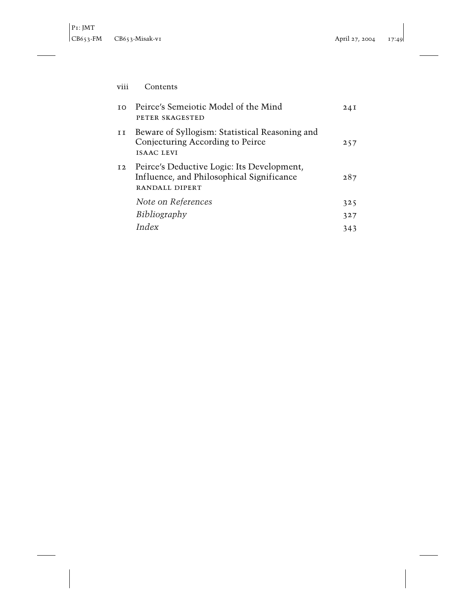viii Contents

| TO.            | Peirce's Semeiotic Model of the Mind<br>PETER SKAGESTED                                                   | 24 I |
|----------------|-----------------------------------------------------------------------------------------------------------|------|
| II             | Beware of Syllogism: Statistical Reasoning and<br>Conjecturing According to Peirce<br><b>ISAAC LEVI</b>   | 257  |
| I <sub>2</sub> | Peirce's Deductive Logic: Its Development,<br>Influence, and Philosophical Significance<br>RANDALL DIPERT | 287  |
|                | Note on References                                                                                        | 325  |
|                | Bibliography                                                                                              | 327  |
|                | Index                                                                                                     | 343  |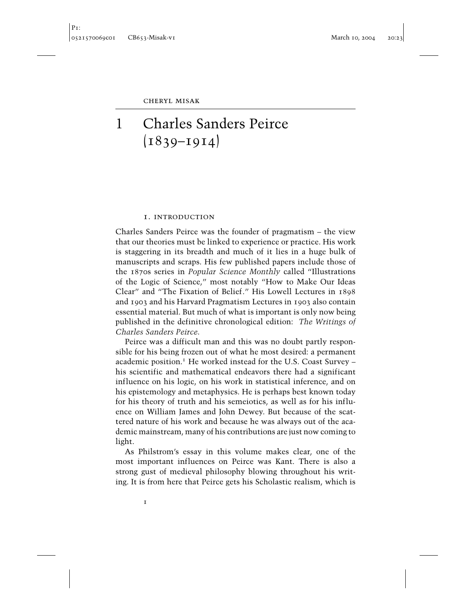## 1 Charles Sanders Peirce  $(1839 - 1914)$

#### 1. introduction

Charles Sanders Peirce was the founder of pragmatism – the view that our theories must be linked to experience or practice. His work is staggering in its breadth and much of it lies in a huge bulk of manuscripts and scraps. His few published papers include those of the 1870s series in *Popular Science Monthly* called "Illustrations of the Logic of Science," most notably "How to Make Our Ideas Clear" and "The Fixation of Belief." His Lowell Lectures in 1898 and 1903 and his Harvard Pragmatism Lectures in 1903 also contain essential material. But much of what is important is only now being published in the definitive chronological edition: *The Writings of Charles Sanders Peirce*.

Peirce was a difficult man and this was no doubt partly responsible for his being frozen out of what he most desired: a permanent academic position.<sup>1</sup> He worked instead for the U.S. Coast Survey – his scientific and mathematical endeavors there had a significant influence on his logic, on his work in statistical inference, and on his epistemology and metaphysics. He is perhaps best known today for his theory of truth and his semeiotics, as well as for his influence on William James and John Dewey. But because of the scattered nature of his work and because he was always out of the academic mainstream, many of his contributions are just now coming to light.

As Philstrom's essay in this volume makes clear, one of the most important influences on Peirce was Kant. There is also a strong gust of medieval philosophy blowing throughout his writing. It is from here that Peirce gets his Scholastic realism, which is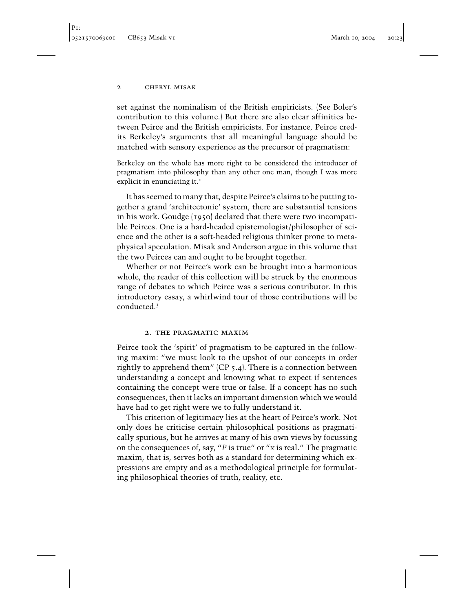set against the nominalism of the British empiricists. (See Boler's contribution to this volume.) But there are also clear affinities between Peirce and the British empiricists. For instance, Peirce credits Berkeley's arguments that all meaningful language should be matched with sensory experience as the precursor of pragmatism:

Berkeley on the whole has more right to be considered the introducer of pragmatism into philosophy than any other one man, though I was more explicit in enunciating it.<sup>2</sup>

It has seemed to many that, despite Peirce's claims to be putting together a grand 'architectonic' system, there are substantial tensions in his work. Goudge (1950) declared that there were two incompatible Peirces. One is a hard-headed epistemologist/philosopher of science and the other is a soft-headed religious thinker prone to metaphysical speculation. Misak and Anderson argue in this volume that the two Peirces can and ought to be brought together.

Whether or not Peirce's work can be brought into a harmonious whole, the reader of this collection will be struck by the enormous range of debates to which Peirce was a serious contributor. In this introductory essay, a whirlwind tour of those contributions will be conducted.<sup>3</sup>

#### 2. the pragmatic maxim

Peirce took the 'spirit' of pragmatism to be captured in the following maxim: "we must look to the upshot of our concepts in order rightly to apprehend them" (CP 5.4). There is a connection between understanding a concept and knowing what to expect if sentences containing the concept were true or false. If a concept has no such consequences, then it lacks an important dimension which we would have had to get right were we to fully understand it.

This criterion of legitimacy lies at the heart of Peirce's work. Not only does he criticise certain philosophical positions as pragmatically spurious, but he arrives at many of his own views by focussing on the consequences of, say, "*P* is true" or "*x* is real." The pragmatic maxim, that is, serves both as a standard for determining which expressions are empty and as a methodological principle for formulating philosophical theories of truth, reality, etc.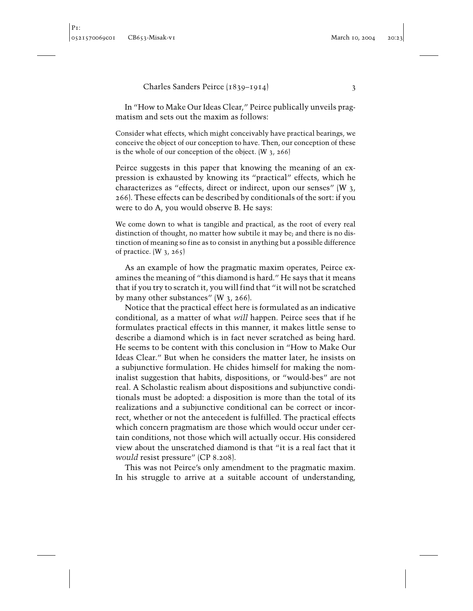In "How to Make Our Ideas Clear," Peirce publically unveils pragmatism and sets out the maxim as follows:

Consider what effects, which might conceivably have practical bearings, we conceive the object of our conception to have. Then, our conception of these is the whole of our conception of the object. (W 3, 266)

Peirce suggests in this paper that knowing the meaning of an expression is exhausted by knowing its "practical" effects, which he characterizes as "effects, direct or indirect, upon our senses" (W 3, 266). These effects can be described by conditionals of the sort: if you were to do A, you would observe B. He says:

We come down to what is tangible and practical, as the root of every real distinction of thought, no matter how subtile it may be; and there is no distinction of meaning so fine as to consist in anything but a possible difference of practice.  $(W_3, 265)$ 

As an example of how the pragmatic maxim operates, Peirce examines the meaning of "this diamond is hard." He says that it means that if you try to scratch it, you will find that "it will not be scratched by many other substances" (W 3, 266).

Notice that the practical effect here is formulated as an indicative conditional, as a matter of what *will* happen. Peirce sees that if he formulates practical effects in this manner, it makes little sense to describe a diamond which is in fact never scratched as being hard. He seems to be content with this conclusion in "How to Make Our Ideas Clear." But when he considers the matter later, he insists on a subjunctive formulation. He chides himself for making the nominalist suggestion that habits, dispositions, or "would-bes" are not real. A Scholastic realism about dispositions and subjunctive conditionals must be adopted: a disposition is more than the total of its realizations and a subjunctive conditional can be correct or incorrect, whether or not the antecedent is fulfilled. The practical effects which concern pragmatism are those which would occur under certain conditions, not those which will actually occur. His considered view about the unscratched diamond is that "it is a real fact that it *would* resist pressure" (CP 8.208).

This was not Peirce's only amendment to the pragmatic maxim. In his struggle to arrive at a suitable account of understanding,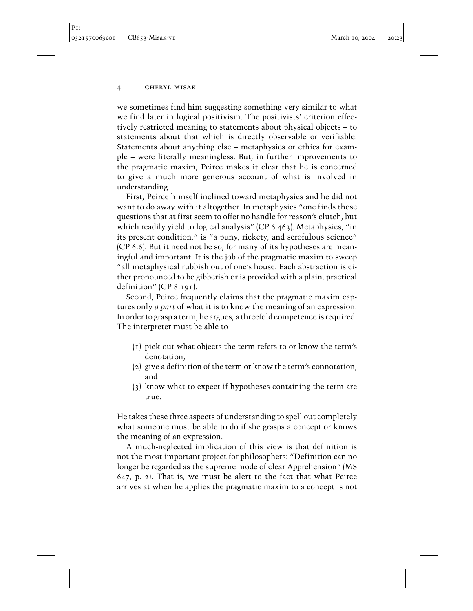we sometimes find him suggesting something very similar to what we find later in logical positivism. The positivists' criterion effectively restricted meaning to statements about physical objects – to statements about that which is directly observable or verifiable. Statements about anything else – metaphysics or ethics for example – were literally meaningless. But, in further improvements to the pragmatic maxim, Peirce makes it clear that he is concerned to give a much more generous account of what is involved in understanding.

First, Peirce himself inclined toward metaphysics and he did not want to do away with it altogether. In metaphysics "one finds those questions that at first seem to offer no handle for reason's clutch, but which readily yield to logical analysis" (CP 6.463). Metaphysics, "in its present condition," is "a puny, rickety, and scrofulous science" (CP 6.6). But it need not be so, for many of its hypotheses are meaningful and important. It is the job of the pragmatic maxim to sweep "all metaphysical rubbish out of one's house. Each abstraction is either pronounced to be gibberish or is provided with a plain, practical definition" (CP 8.191).

Second, Peirce frequently claims that the pragmatic maxim captures only *a part* of what it is to know the meaning of an expression. In order to grasp a term, he argues, a threefold competence is required. The interpreter must be able to

- (1) pick out what objects the term refers to or know the term's denotation,
- (2) give a definition of the term or know the term's connotation, and
- (3) know what to expect if hypotheses containing the term are true.

He takes these three aspects of understanding to spell out completely what someone must be able to do if she grasps a concept or knows the meaning of an expression.

A much-neglected implication of this view is that definition is not the most important project for philosophers: "Definition can no longer be regarded as the supreme mode of clear Apprehension" (MS 647, p. 2). That is, we must be alert to the fact that what Peirce arrives at when he applies the pragmatic maxim to a concept is not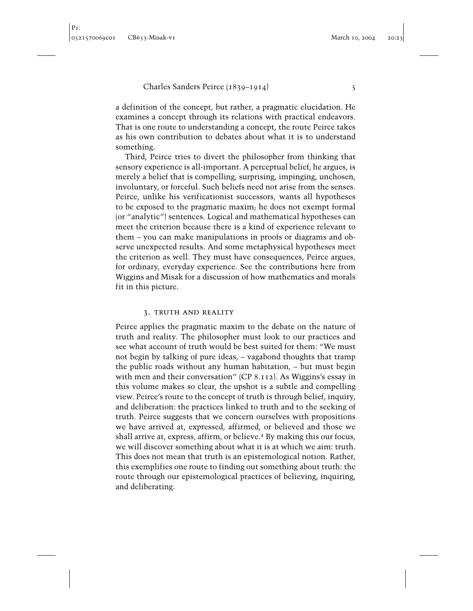a definition of the concept, but rather, a pragmatic elucidation. He examines a concept through its relations with practical endeavors. That is one route to understanding a concept, the route Peirce takes as his own contribution to debates about what it is to understand something.

Third, Peirce tries to divert the philosopher from thinking that sensory experience is all-important. A perceptual belief, he argues, is merely a belief that is compelling, surprising, impinging, unchosen, involuntary, or forceful. Such beliefs need not arise from the senses. Peirce, unlike his verificationist successors, wants all hypotheses to be exposed to the pragmatic maxim; he does not exempt formal (or "analytic") sentences. Logical and mathematical hypotheses can meet the criterion because there is a kind of experience relevant to them – you can make manipulations in proofs or diagrams and observe unexpected results. And some metaphysical hypotheses meet the criterion as well. They must have consequences, Peirce argues, for ordinary, everyday experience. See the contributions here from Wiggins and Misak for a discussion of how mathematics and morals fit in this picture.

#### 3. truth and reality

Peirce applies the pragmatic maxim to the debate on the nature of truth and reality. The philosopher must look to our practices and see what account of truth would be best suited for them: "We must not begin by talking of pure ideas, – vagabond thoughts that tramp the public roads without any human habitation, – but must begin with men and their conversation" (CP 8.112). As Wiggins's essay in this volume makes so clear, the upshot is a subtle and compelling view. Peirce's route to the concept of truth is through belief, inquiry, and deliberation: the practices linked to truth and to the seeking of truth. Peirce suggests that we concern ourselves with propositions we have arrived at, expressed, affirmed, or believed and those we shall arrive at, express, affirm, or believe.<sup>4</sup> By making this our focus, we will discover something about what it is at which we aim: truth. This does not mean that truth is an epistemological notion. Rather, this exemplifies one route to finding out something about truth: the route through our epistemological practices of believing, inquiring, and deliberating.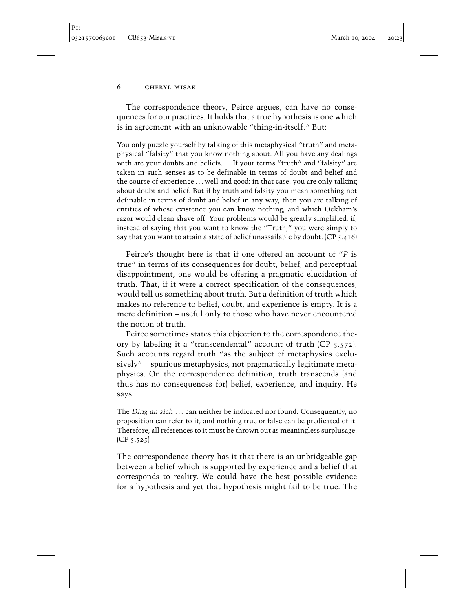The correspondence theory, Peirce argues, can have no consequences for our practices. It holds that a true hypothesis is one which is in agreement with an unknowable "thing-in-itself." But:

You only puzzle yourself by talking of this metaphysical "truth" and metaphysical "falsity" that you know nothing about. All you have any dealings with are your doubts and beliefs.... If your terms "truth" and "falsity" are taken in such senses as to be definable in terms of doubt and belief and the course of experience . . . well and good: in that case, you are only talking about doubt and belief. But if by truth and falsity you mean something not definable in terms of doubt and belief in any way, then you are talking of entities of whose existence you can know nothing, and which Ockham's razor would clean shave off. Your problems would be greatly simplified, if, instead of saying that you want to know the "Truth," you were simply to say that you want to attain a state of belief unassailable by doubt. (CP 5.416)

Peirce's thought here is that if one offered an account of "*P* is true" in terms of its consequences for doubt, belief, and perceptual disappointment, one would be offering a pragmatic elucidation of truth. That, if it were a correct specification of the consequences, would tell us something about truth. But a definition of truth which makes no reference to belief, doubt, and experience is empty. It is a mere definition – useful only to those who have never encountered the notion of truth.

Peirce sometimes states this objection to the correspondence theory by labeling it a "transcendental" account of truth (CP 5.572). Such accounts regard truth "as the subject of metaphysics exclusively" – spurious metaphysics, not pragmatically legitimate metaphysics. On the correspondence definition, truth transcends (and thus has no consequences for) belief, experience, and inquiry. He says:

The *Ding an sich* ... can neither be indicated nor found. Consequently, no proposition can refer to it, and nothing true or false can be predicated of it. Therefore, all references to it must be thrown out as meaningless surplusage.  $(CP_5.525)$ 

The correspondence theory has it that there is an unbridgeable gap between a belief which is supported by experience and a belief that corresponds to reality. We could have the best possible evidence for a hypothesis and yet that hypothesis might fail to be true. The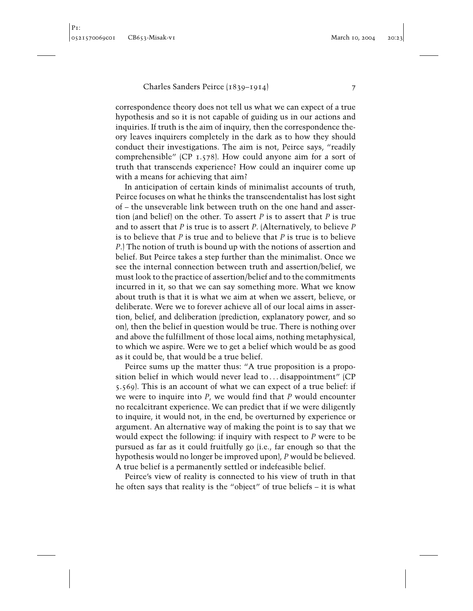correspondence theory does not tell us what we can expect of a true hypothesis and so it is not capable of guiding us in our actions and inquiries. If truth is the aim of inquiry, then the correspondence theory leaves inquirers completely in the dark as to how they should conduct their investigations. The aim is not, Peirce says, "readily comprehensible" (CP 1.578). How could anyone aim for a sort of truth that transcends experience? How could an inquirer come up with a means for achieving that aim?

In anticipation of certain kinds of minimalist accounts of truth, Peirce focuses on what he thinks the transcendentalist has lost sight of – the unseverable link between truth on the one hand and assertion (and belief) on the other. To assert *P* is to assert that *P* is true and to assert that *P* is true is to assert *P*. (Alternatively, to believe *P* is to believe that *P* is true and to believe that *P* is true is to believe *P*.) The notion of truth is bound up with the notions of assertion and belief. But Peirce takes a step further than the minimalist. Once we see the internal connection between truth and assertion/belief, we must look to the practice of assertion/belief and to the commitments incurred in it, so that we can say something more. What we know about truth is that it is what we aim at when we assert, believe, or deliberate. Were we to forever achieve all of our local aims in assertion, belief, and deliberation (prediction, explanatory power, and so on), then the belief in question would be true. There is nothing over and above the fulfillment of those local aims, nothing metaphysical, to which we aspire. Were we to get a belief which would be as good as it could be, that would be a true belief.

Peirce sums up the matter thus: "A true proposition is a proposition belief in which would never lead to ... disappointment" (CP 5.569). This is an account of what we can expect of a true belief: if we were to inquire into *P*, we would find that *P* would encounter no recalcitrant experience. We can predict that if we were diligently to inquire, it would not, in the end, be overturned by experience or argument. An alternative way of making the point is to say that we would expect the following: if inquiry with respect to *P* were to be pursued as far as it could fruitfully go (i.e., far enough so that the hypothesis would no longer be improved upon), *P* would be believed. A true belief is a permanently settled or indefeasible belief.

Peirce's view of reality is connected to his view of truth in that he often says that reality is the "object" of true beliefs – it is what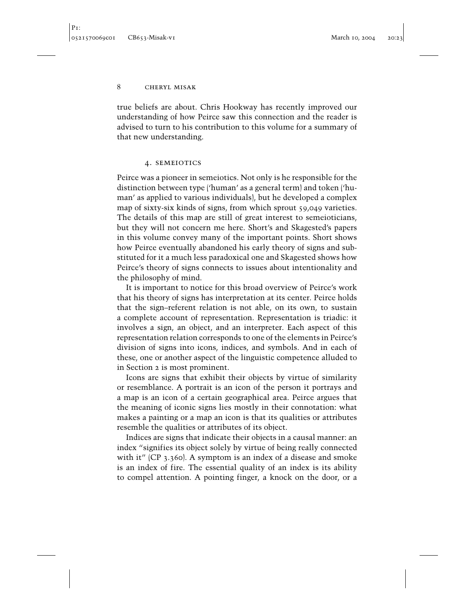true beliefs are about. Chris Hookway has recently improved our understanding of how Peirce saw this connection and the reader is advised to turn to his contribution to this volume for a summary of that new understanding.

#### 4. semeiotics

Peirce was a pioneer in semeiotics. Not only is he responsible for the distinction between type ('human' as a general term) and token ('human' as applied to various individuals), but he developed a complex map of sixty-six kinds of signs, from which sprout 59,049 varieties. The details of this map are still of great interest to semeioticians, but they will not concern me here. Short's and Skagested's papers in this volume convey many of the important points. Short shows how Peirce eventually abandoned his early theory of signs and substituted for it a much less paradoxical one and Skagested shows how Peirce's theory of signs connects to issues about intentionality and the philosophy of mind.

It is important to notice for this broad overview of Peirce's work that his theory of signs has interpretation at its center. Peirce holds that the sign–referent relation is not able, on its own, to sustain a complete account of representation. Representation is triadic: it involves a sign, an object, and an interpreter. Each aspect of this representation relation corresponds to one of the elements in Peirce's division of signs into icons, indices, and symbols. And in each of these, one or another aspect of the linguistic competence alluded to in Section 2 is most prominent.

Icons are signs that exhibit their objects by virtue of similarity or resemblance. A portrait is an icon of the person it portrays and a map is an icon of a certain geographical area. Peirce argues that the meaning of iconic signs lies mostly in their connotation: what makes a painting or a map an icon is that its qualities or attributes resemble the qualities or attributes of its object.

Indices are signs that indicate their objects in a causal manner: an index "signifies its object solely by virtue of being really connected with it" (CP 3.360). A symptom is an index of a disease and smoke is an index of fire. The essential quality of an index is its ability to compel attention. A pointing finger, a knock on the door, or a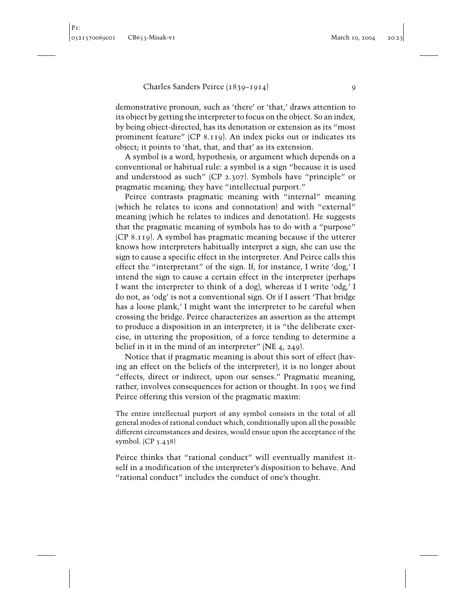demonstrative pronoun, such as 'there' or 'that,' draws attention to its object by getting the interpreter to focus on the object. So an index, by being object-directed, has its denotation or extension as its "most prominent feature" (CP 8.119). An index picks out or indicates its object; it points to 'that, that, and that' as its extension.

A symbol is a word, hypothesis, or argument which depends on a conventional or habitual rule: a symbol is a sign "because it is used and understood as such" (CP 2.307). Symbols have "principle" or pragmatic meaning; they have "intellectual purport."

Peirce contrasts pragmatic meaning with "internal" meaning (which he relates to icons and connotation) and with "external" meaning (which he relates to indices and denotation). He suggests that the pragmatic meaning of symbols has to do with a "purpose" (CP 8.119). A symbol has pragmatic meaning because if the utterer knows how interpreters habitually interpret a sign, she can use the sign to cause a specific effect in the interpreter. And Peirce calls this effect the "interpretant" of the sign. If, for instance, I write 'dog,' I intend the sign to cause a certain effect in the interpreter (perhaps I want the interpreter to think of a dog), whereas if I write 'odg,' I do not, as 'odg' is not a conventional sign. Or if I assert 'That bridge has a loose plank,' I might want the interpreter to be careful when crossing the bridge. Peirce characterizes an assertion as the attempt to produce a disposition in an interpreter; it is "the deliberate exercise, in uttering the proposition, of a force tending to determine a belief in it in the mind of an interpreter" (NE 4, 249).

Notice that if pragmatic meaning is about this sort of effect (having an effect on the beliefs of the interpreter), it is no longer about "effects, direct or indirect, upon our senses." Pragmatic meaning, rather, involves consequences for action or thought. In 1905 we find Peirce offering this version of the pragmatic maxim:

The entire intellectual purport of any symbol consists in the total of all general modes of rational conduct which, conditionally upon all the possible different circumstances and desires, would ensue upon the acceptance of the symbol. (CP 5.438)

Peirce thinks that "rational conduct" will eventually manifest itself in a modification of the interpreter's disposition to behave. And "rational conduct" includes the conduct of one's thought.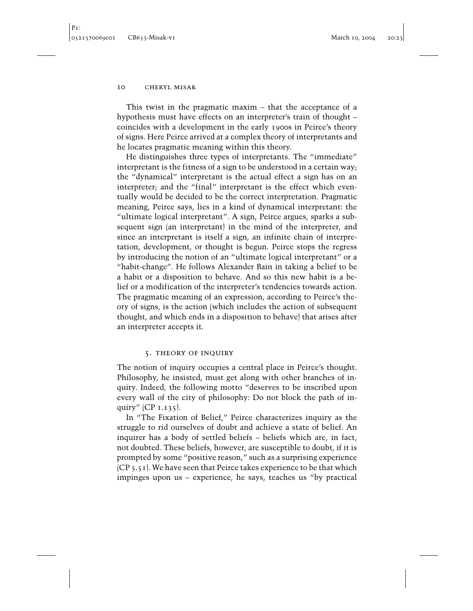This twist in the pragmatic maxim – that the acceptance of a hypothesis must have effects on an interpreter's train of thought – coincides with a development in the early 1900s in Peirce's theory of signs. Here Peirce arrived at a complex theory of interpretants and he locates pragmatic meaning within this theory.

He distinguishes three types of interpretants. The "immediate" interpretant is the fitness of a sign to be understood in a certain way; the "dynamical" interpretant is the actual effect a sign has on an interpreter; and the "final" interpretant is the effect which eventually would be decided to be the correct interpretation. Pragmatic meaning, Peirce says, lies in a kind of dynamical interpretant: the "ultimate logical interpretant". A sign, Peirce argues, sparks a subsequent sign (an interpretant) in the mind of the interpreter, and since an interpretant is itself a sign, an infinite chain of interpretation, development, or thought is begun. Peirce stops the regress by introducing the notion of an "ultimate logical interpretant" or a "habit-change". He follows Alexander Bain in taking a belief to be a habit or a disposition to behave. And so this new habit is a belief or a modification of the interpreter's tendencies towards action. The pragmatic meaning of an expression, according to Peirce's theory of signs, is the action (which includes the action of subsequent thought, and which ends in a disposition to behave) that arises after an interpreter accepts it.

#### 5. theory of inquiry

The notion of inquiry occupies a central place in Peirce's thought. Philosophy, he insisted, must get along with other branches of inquiry. Indeed, the following motto "deserves to be inscribed upon every wall of the city of philosophy: Do not block the path of inquiry"  $(CP I.135)$ .

In "The Fixation of Belief," Peirce characterizes inquiry as the struggle to rid ourselves of doubt and achieve a state of belief. An inquirer has a body of settled beliefs – beliefs which are, in fact, not doubted. These beliefs, however, are susceptible to doubt, if it is prompted by some "positive reason," such as a surprising experience (CP 5.51). We have seen that Peirce takes experience to be that which impinges upon us – experience, he says, teaches us "by practical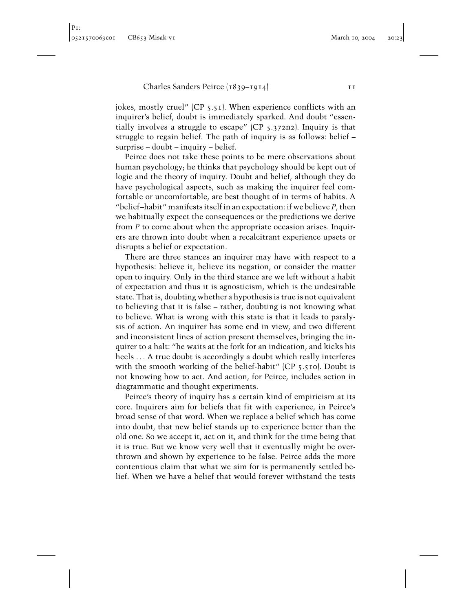jokes, mostly cruel" (CP 5.51). When experience conflicts with an inquirer's belief, doubt is immediately sparked. And doubt "essentially involves a struggle to escape" (CP 5.372n2). Inquiry is that struggle to regain belief. The path of inquiry is as follows: belief – surprise – doubt – inquiry – belief.

Peirce does not take these points to be mere observations about human psychology; he thinks that psychology should be kept out of logic and the theory of inquiry. Doubt and belief, although they do have psychological aspects, such as making the inquirer feel comfortable or uncomfortable, are best thought of in terms of habits. A "belief–habit" manifests itself in an expectation: if we believe *P*, then we habitually expect the consequences or the predictions we derive from *P* to come about when the appropriate occasion arises. Inquirers are thrown into doubt when a recalcitrant experience upsets or disrupts a belief or expectation.

There are three stances an inquirer may have with respect to a hypothesis: believe it, believe its negation, or consider the matter open to inquiry. Only in the third stance are we left without a habit of expectation and thus it is agnosticism, which is the undesirable state. That is, doubting whether a hypothesis is true is not equivalent to believing that it is false – rather, doubting is not knowing what to believe. What is wrong with this state is that it leads to paralysis of action. An inquirer has some end in view, and two different and inconsistent lines of action present themselves, bringing the inquirer to a halt: "he waits at the fork for an indication, and kicks his heels ... A true doubt is accordingly a doubt which really interferes with the smooth working of the belief-habit" (CP 5.510). Doubt is not knowing how to act. And action, for Peirce, includes action in diagrammatic and thought experiments.

Peirce's theory of inquiry has a certain kind of empiricism at its core. Inquirers aim for beliefs that fit with experience, in Peirce's broad sense of that word. When we replace a belief which has come into doubt, that new belief stands up to experience better than the old one. So we accept it, act on it, and think for the time being that it is true. But we know very well that it eventually might be overthrown and shown by experience to be false. Peirce adds the more contentious claim that what we aim for is permanently settled belief. When we have a belief that would forever withstand the tests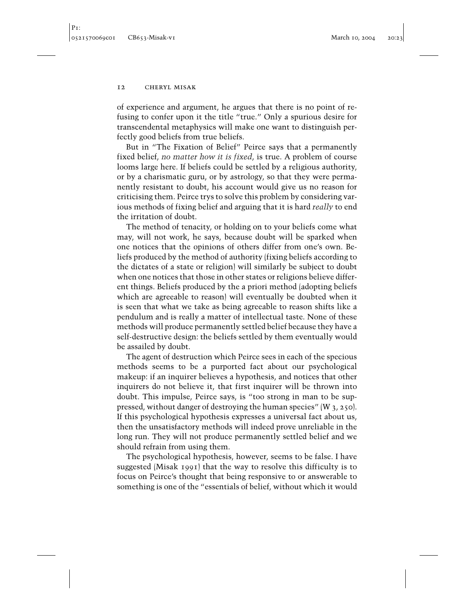of experience and argument, he argues that there is no point of refusing to confer upon it the title "true." Only a spurious desire for transcendental metaphysics will make one want to distinguish perfectly good beliefs from true beliefs.

But in "The Fixation of Belief" Peirce says that a permanently fixed belief, *no matter how it is fixed*, is true. A problem of course looms large here. If beliefs could be settled by a religious authority, or by a charismatic guru, or by astrology, so that they were permanently resistant to doubt, his account would give us no reason for criticising them. Peirce trys to solve this problem by considering various methods of fixing belief and arguing that it is hard *really* to end the irritation of doubt.

The method of tenacity, or holding on to your beliefs come what may, will not work, he says, because doubt will be sparked when one notices that the opinions of others differ from one's own. Beliefs produced by the method of authority (fixing beliefs according to the dictates of a state or religion) will similarly be subject to doubt when one notices that those in other states or religions believe different things. Beliefs produced by the a priori method (adopting beliefs which are agreeable to reason) will eventually be doubted when it is seen that what we take as being agreeable to reason shifts like a pendulum and is really a matter of intellectual taste. None of these methods will produce permanently settled belief because they have a self-destructive design: the beliefs settled by them eventually would be assailed by doubt.

The agent of destruction which Peirce sees in each of the specious methods seems to be a purported fact about our psychological makeup: if an inquirer believes a hypothesis, and notices that other inquirers do not believe it, that first inquirer will be thrown into doubt. This impulse, Peirce says, is "too strong in man to be suppressed, without danger of destroying the human species" (W 3, 250). If this psychological hypothesis expresses a universal fact about us, then the unsatisfactory methods will indeed prove unreliable in the long run. They will not produce permanently settled belief and we should refrain from using them.

The psychological hypothesis, however, seems to be false. I have suggested (Misak 1991) that the way to resolve this difficulty is to focus on Peirce's thought that being responsive to or answerable to something is one of the "essentials of belief, without which it would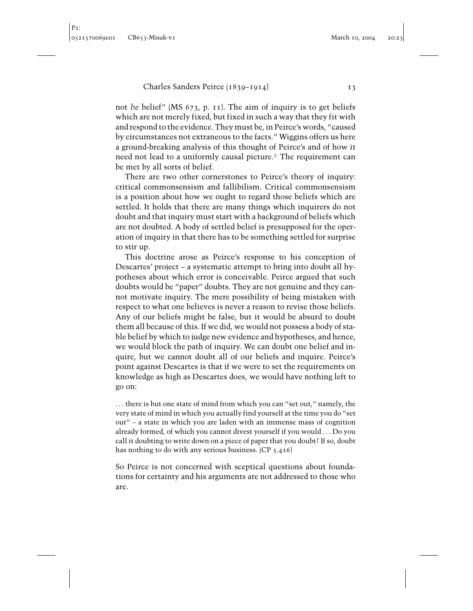not *be* belief" (MS 673, p. 11). The aim of inquiry is to get beliefs which are not merely fixed, but fixed in such a way that they fit with and respond to the evidence. They must be, in Peirce's words, "caused by circumstances not extraneous to the facts." Wiggins offers us here a ground-breaking analysis of this thought of Peirce's and of how it need not lead to a uniformly causal picture.<sup>5</sup> The requirement can be met by all sorts of belief.

There are two other cornerstones to Peirce's theory of inquiry: critical commonsensism and fallibilism. Critical commonsensism is a position about how we ought to regard those beliefs which are settled. It holds that there are many things which inquirers do not doubt and that inquiry must start with a background of beliefs which are not doubted. A body of settled belief is presupposed for the operation of inquiry in that there has to be something settled for surprise to stir up.

This doctrine arose as Peirce's response to his conception of Descartes' project – a systematic attempt to bring into doubt all hypotheses about which error is conceivable. Peirce argued that such doubts would be "paper" doubts. They are not genuine and they cannot motivate inquiry. The mere possibility of being mistaken with respect to what one believes is never a reason to revise those beliefs. Any of our beliefs might be false, but it would be absurd to doubt them all because of this. If we did, we would not possess a body of stable belief by which to judge new evidence and hypotheses, and hence, we would block the path of inquiry. We can doubt one belief and inquire, but we cannot doubt all of our beliefs and inquire. Peirce's point against Descartes is that if we were to set the requirements on knowledge as high as Descartes does, we would have nothing left to go on:

... there is but one state of mind from which you can "set out," namely, the very state of mind in which you actually find yourself at the time you do "set out" – a state in which you are laden with an immense mass of cognition already formed, of which you cannot divest yourself if you would ... Do you call it doubting to write down on a piece of paper that you doubt? If so, doubt has nothing to do with any serious business. (CP 5.416)

So Peirce is not concerned with sceptical questions about foundations for certainty and his arguments are not addressed to those who are.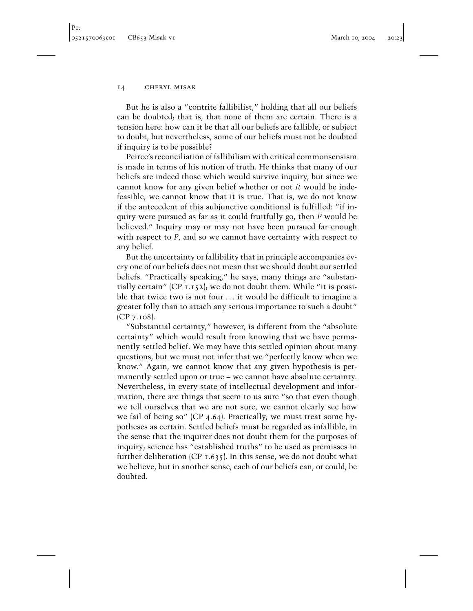But he is also a "contrite fallibilist," holding that all our beliefs can be doubted; that is, that none of them are certain. There is a tension here: how can it be that all our beliefs are fallible, or subject to doubt, but nevertheless, some of our beliefs must not be doubted if inquiry is to be possible?

Peirce's reconciliation of fallibilism with critical commonsensism is made in terms of his notion of truth. He thinks that many of our beliefs are indeed those which would survive inquiry, but since we cannot know for any given belief whether or not *it* would be indefeasible, we cannot know that it is true. That is, we do not know if the antecedent of this subjunctive conditional is fulfilled: "if inquiry were pursued as far as it could fruitfully go, then *P* would be believed." Inquiry may or may not have been pursued far enough with respect to *P*, and so we cannot have certainty with respect to any belief.

But the uncertainty or fallibility that in principle accompanies every one of our beliefs does not mean that we should doubt our settled beliefs. "Practically speaking," he says, many things are "substantially certain" (CP 1.152); we do not doubt them. While "it is possible that twice two is not four ... it would be difficult to imagine a greater folly than to attach any serious importance to such a doubt" (CP 7.108).

"Substantial certainty," however, is different from the "absolute certainty" which would result from knowing that we have permanently settled belief. We may have this settled opinion about many questions, but we must not infer that we "perfectly know when we know." Again, we cannot know that any given hypothesis is permanently settled upon or true – we cannot have absolute certainty. Nevertheless, in every state of intellectual development and information, there are things that seem to us sure "so that even though we tell ourselves that we are not sure, we cannot clearly see how we fail of being so" (CP 4.64). Practically, we must treat some hypotheses as certain. Settled beliefs must be regarded as infallible, in the sense that the inquirer does not doubt them for the purposes of inquiry; science has "established truths" to be used as premisses in further deliberation (CP 1.635). In this sense, we do not doubt what we believe, but in another sense, each of our beliefs can, or could, be doubted.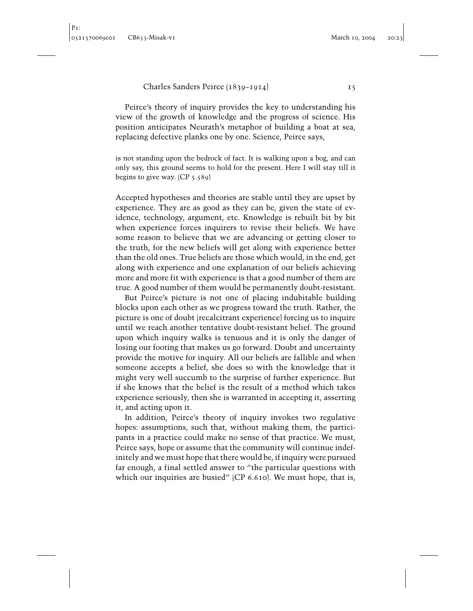Charles Sanders Peirce (1839–1914) 15

Peirce's theory of inquiry provides the key to understanding his view of the growth of knowledge and the progress of science. His position anticipates Neurath's metaphor of building a boat at sea, replacing defective planks one by one. Science, Peirce says,

is not standing upon the bedrock of fact. It is walking upon a bog, and can only say, this ground seems to hold for the present. Here I will stay till it begins to give way.  $(CP_5.589)$ 

Accepted hypotheses and theories are stable until they are upset by experience. They are as good as they can be, given the state of evidence, technology, argument, etc. Knowledge is rebuilt bit by bit when experience forces inquirers to revise their beliefs. We have some reason to believe that we are advancing or getting closer to the truth, for the new beliefs will get along with experience better than the old ones. True beliefs are those which would, in the end, get along with experience and one explanation of our beliefs achieving more and more fit with experience is that a good number of them are true. A good number of them would be permanently doubt-resistant.

But Peirce's picture is not one of placing indubitable building blocks upon each other as we progress toward the truth. Rather, the picture is one of doubt (recalcitrant experience) forcing us to inquire until we reach another tentative doubt-resistant belief. The ground upon which inquiry walks is tenuous and it is only the danger of losing our footing that makes us go forward. Doubt and uncertainty provide the motive for inquiry. All our beliefs are fallible and when someone accepts a belief, she does so with the knowledge that it might very well succumb to the surprise of further experience. But if she knows that the belief is the result of a method which takes experience seriously, then she is warranted in accepting it, asserting it, and acting upon it.

In addition, Peirce's theory of inquiry invokes two regulative hopes: assumptions, such that, without making them, the participants in a practice could make no sense of that practice. We must, Peirce says, hope or assume that the community will continue indefinitely and we must hope that there would be, if inquiry were pursued far enough, a final settled answer to "the particular questions with which our inquiries are busied" (CP 6.610). We must hope, that is,